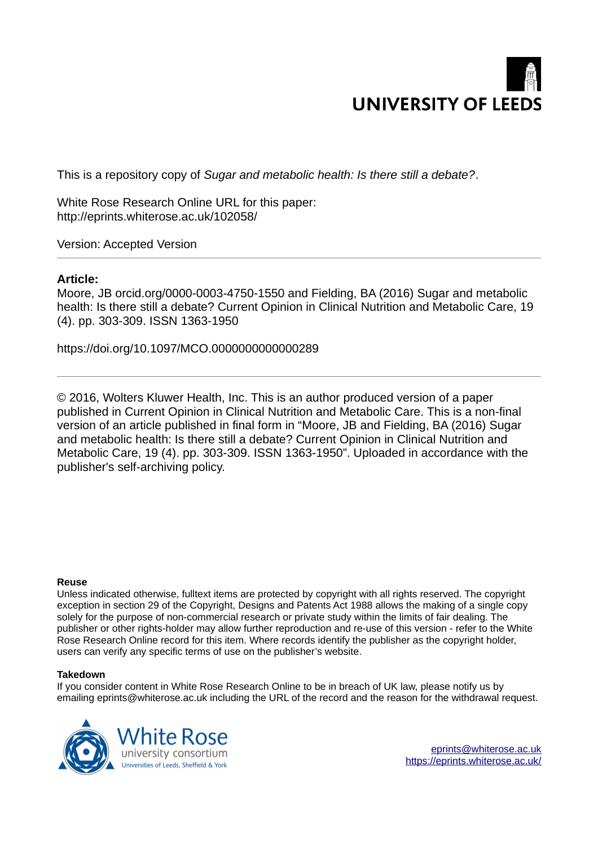

This is a repository copy of *Sugar and metabolic health: Is there still a debate?*.

White Rose Research Online URL for this paper: http://eprints.whiterose.ac.uk/102058/

Version: Accepted Version

## **Article:**

Moore, JB orcid.org/0000-0003-4750-1550 and Fielding, BA (2016) Sugar and metabolic health: Is there still a debate? Current Opinion in Clinical Nutrition and Metabolic Care, 19 (4). pp. 303-309. ISSN 1363-1950

https://doi.org/10.1097/MCO.0000000000000289

© 2016, Wolters Kluwer Health, Inc. This is an author produced version of a paper published in Current Opinion in Clinical Nutrition and Metabolic Care. This is a non-final version of an article published in final form in "Moore, JB and Fielding, BA (2016) Sugar and metabolic health: Is there still a debate? Current Opinion in Clinical Nutrition and Metabolic Care, 19 (4). pp. 303-309. ISSN 1363-1950". Uploaded in accordance with the publisher's self-archiving policy.

#### **Reuse**

Unless indicated otherwise, fulltext items are protected by copyright with all rights reserved. The copyright exception in section 29 of the Copyright, Designs and Patents Act 1988 allows the making of a single copy solely for the purpose of non-commercial research or private study within the limits of fair dealing. The publisher or other rights-holder may allow further reproduction and re-use of this version - refer to the White Rose Research Online record for this item. Where records identify the publisher as the copyright holder, users can verify any specific terms of use on the publisher's website.

### **Takedown**

If you consider content in White Rose Research Online to be in breach of UK law, please notify us by emailing eprints@whiterose.ac.uk including the URL of the record and the reason for the withdrawal request.

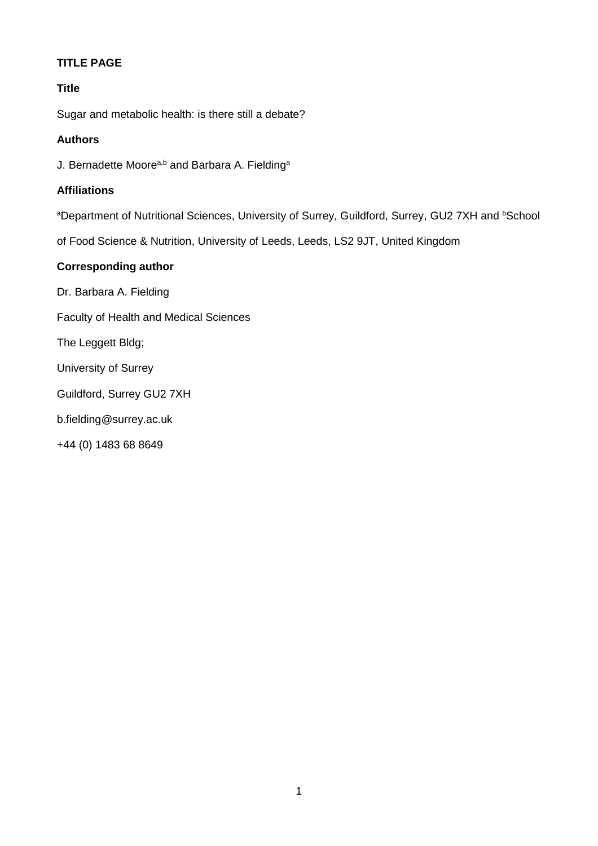# **TITLE PAGE**

# **Title**

Sugar and metabolic health: is there still a debate?

## **Authors**

J. Bernadette Moore<sup>a,b</sup> and Barbara A. Fielding<sup>a</sup>

## **Affiliations**

aDepartment of Nutritional Sciences, University of Surrey, Guildford, Surrey, GU2 7XH and bSchool

of Food Science & Nutrition, University of Leeds, Leeds, LS2 9JT, United Kingdom

# **Corresponding author**

Dr. Barbara A. Fielding Faculty of Health and Medical Sciences The Leggett Bldg; University of Surrey Guildford, Surrey GU2 7XH b.fielding@surrey.ac.uk +44 (0) 1483 68 8649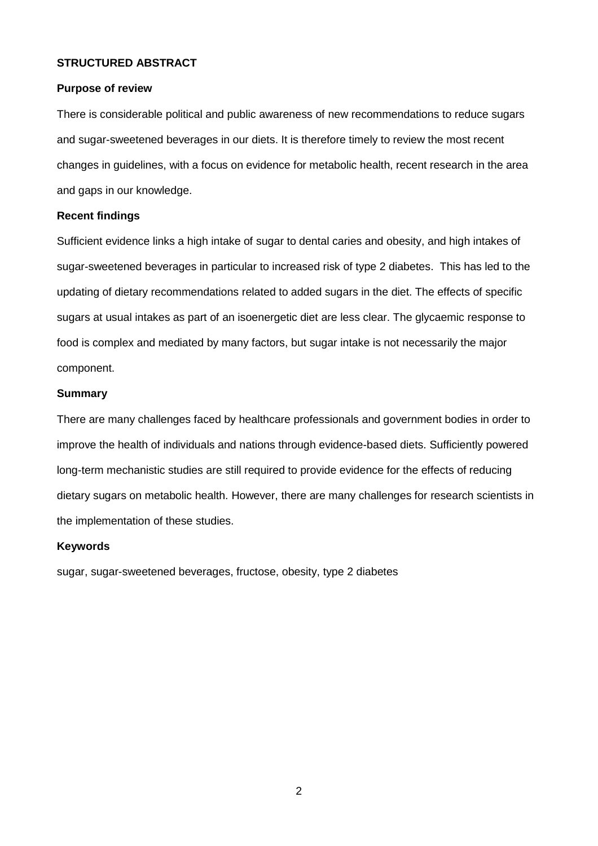## **STRUCTURED ABSTRACT**

### **Purpose of review**

There is considerable political and public awareness of new recommendations to reduce sugars and sugar-sweetened beverages in our diets. It is therefore timely to review the most recent changes in guidelines, with a focus on evidence for metabolic health, recent research in the area and gaps in our knowledge.

### **Recent findings**

Sufficient evidence links a high intake of sugar to dental caries and obesity, and high intakes of sugar-sweetened beverages in particular to increased risk of type 2 diabetes. This has led to the updating of dietary recommendations related to added sugars in the diet. The effects of specific sugars at usual intakes as part of an isoenergetic diet are less clear. The glycaemic response to food is complex and mediated by many factors, but sugar intake is not necessarily the major component.

## **Summary**

There are many challenges faced by healthcare professionals and government bodies in order to improve the health of individuals and nations through evidence-based diets. Sufficiently powered long-term mechanistic studies are still required to provide evidence for the effects of reducing dietary sugars on metabolic health. However, there are many challenges for research scientists in the implementation of these studies.

#### **Keywords**

sugar, sugar-sweetened beverages, fructose, obesity, type 2 diabetes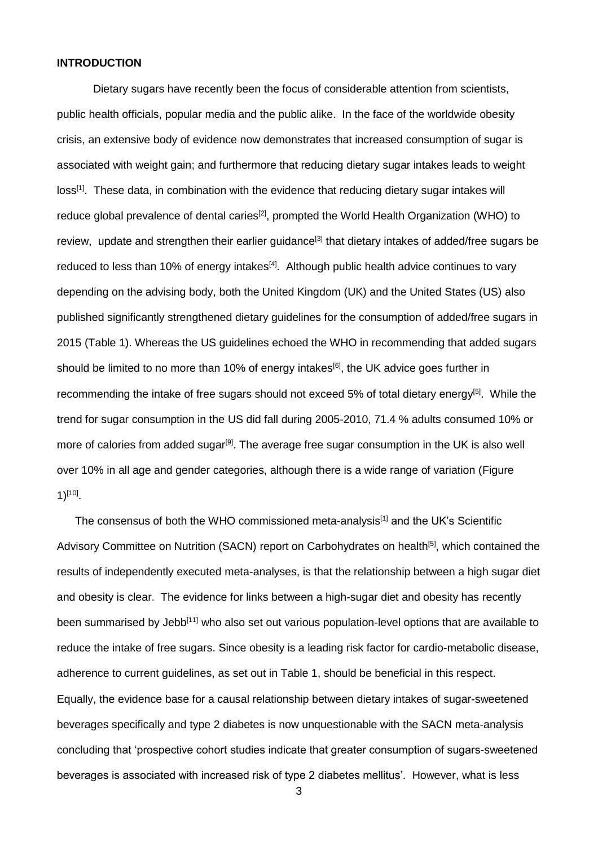### **INTRODUCTION**

Dietary sugars have recently been the focus of considerable attention from scientists, public health officials, popular media and the public alike. In the face of the worldwide obesity crisis, an extensive body of evidence now demonstrates that increased consumption of sugar is associated with weight gain; and furthermore that reducing dietary sugar intakes leads to weight loss<sup>[1]</sup>. These data, in combination with the evidence that reducing dietary sugar intakes will reduce global prevalence of dental caries<sup>[2]</sup>, prompted the World Health Organization (WHO) to review, update and strengthen their earlier guidance<sup>[3]</sup> that dietary intakes of added/free sugars be reduced to less than 10% of energy intakes<sup>[4]</sup>. Although public health advice continues to vary depending on the advising body, both the United Kingdom (UK) and the United States (US) also published significantly strengthened dietary guidelines for the consumption of added/free sugars in 2015 (Table 1). Whereas the US guidelines echoed the WHO in recommending that added sugars should be limited to no more than 10% of energy intakes<sup>[6]</sup>, the UK advice goes further in recommending the intake of free sugars should not exceed 5% of total dietary energy<sup>[5]</sup>. While the trend for sugar consumption in the US did fall during 2005-2010, 71.4 % adults consumed 10% or more of calories from added sugar<sup>[9]</sup>. The average free sugar consumption in the UK is also well over 10% in all age and gender categories, although there is a wide range of variation (Figure 1) $^{[10]}$ .

The consensus of both the WHO commissioned meta-analysis<sup>[1]</sup> and the UK's Scientific Advisory Committee on Nutrition (SACN) report on Carbohydrates on health<sup>[5]</sup>, which contained the results of independently executed meta-analyses, is that the relationship between a high sugar diet and obesity is clear. The evidence for links between a high-sugar diet and obesity has recently been summarised by Jebb<sup>[11]</sup> who also set out various population-level options that are available to reduce the intake of free sugars. Since obesity is a leading risk factor for cardio-metabolic disease, adherence to current guidelines, as set out in Table 1, should be beneficial in this respect. Equally, the evidence base for a causal relationship between dietary intakes of sugar-sweetened beverages specifically and type 2 diabetes is now unquestionable with the SACN meta-analysis concluding that 'prospective cohort studies indicate that greater consumption of sugars-sweetened beverages is associated with increased risk of type 2 diabetes mellitus'. However, what is less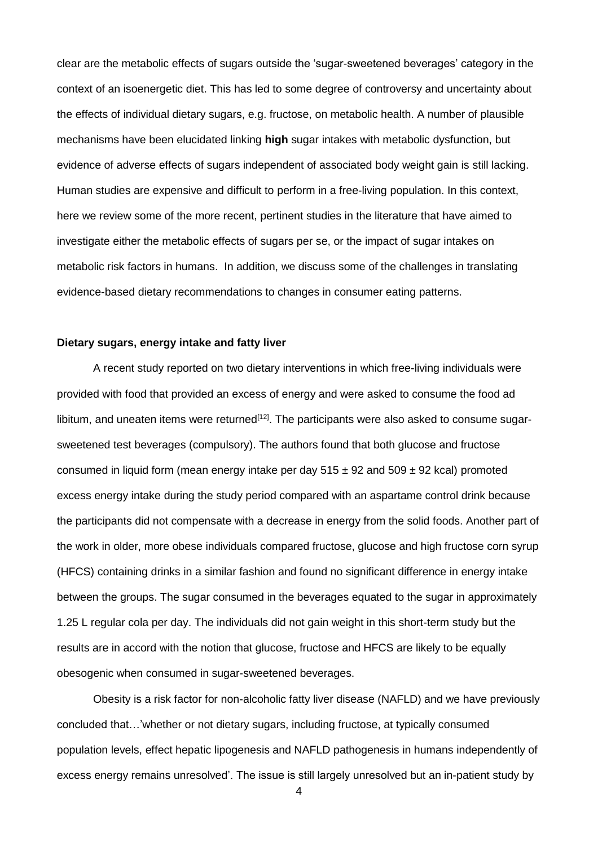clear are the metabolic effects of sugars outside the 'sugar-sweetened beverages' category in the context of an isoenergetic diet. This has led to some degree of controversy and uncertainty about the effects of individual dietary sugars, e.g. fructose, on metabolic health. A number of plausible mechanisms have been elucidated linking **high** sugar intakes with metabolic dysfunction, but evidence of adverse effects of sugars independent of associated body weight gain is still lacking. Human studies are expensive and difficult to perform in a free-living population. In this context, here we review some of the more recent, pertinent studies in the literature that have aimed to investigate either the metabolic effects of sugars per se, or the impact of sugar intakes on metabolic risk factors in humans. In addition, we discuss some of the challenges in translating evidence-based dietary recommendations to changes in consumer eating patterns.

### **Dietary sugars, energy intake and fatty liver**

A recent study reported on two dietary interventions in which free-living individuals were provided with food that provided an excess of energy and were asked to consume the food ad libitum, and uneaten items were returned<sup>[12]</sup>. The participants were also asked to consume sugarsweetened test beverages (compulsory). The authors found that both glucose and fructose consumed in liquid form (mean energy intake per day  $515 \pm 92$  and  $509 \pm 92$  kcal) promoted excess energy intake during the study period compared with an aspartame control drink because the participants did not compensate with a decrease in energy from the solid foods. Another part of the work in older, more obese individuals compared fructose, glucose and high fructose corn syrup (HFCS) containing drinks in a similar fashion and found no significant difference in energy intake between the groups. The sugar consumed in the beverages equated to the sugar in approximately 1.25 L regular cola per day. The individuals did not gain weight in this short-term study but the results are in accord with the notion that glucose, fructose and HFCS are likely to be equally obesogenic when consumed in sugar-sweetened beverages.

Obesity is a risk factor for non-alcoholic fatty liver disease (NAFLD) and we have previously concluded that…'whether or not dietary sugars, including fructose, at typically consumed population levels, effect hepatic lipogenesis and NAFLD pathogenesis in humans independently of excess energy remains unresolved'. The issue is still largely unresolved but an in-patient study by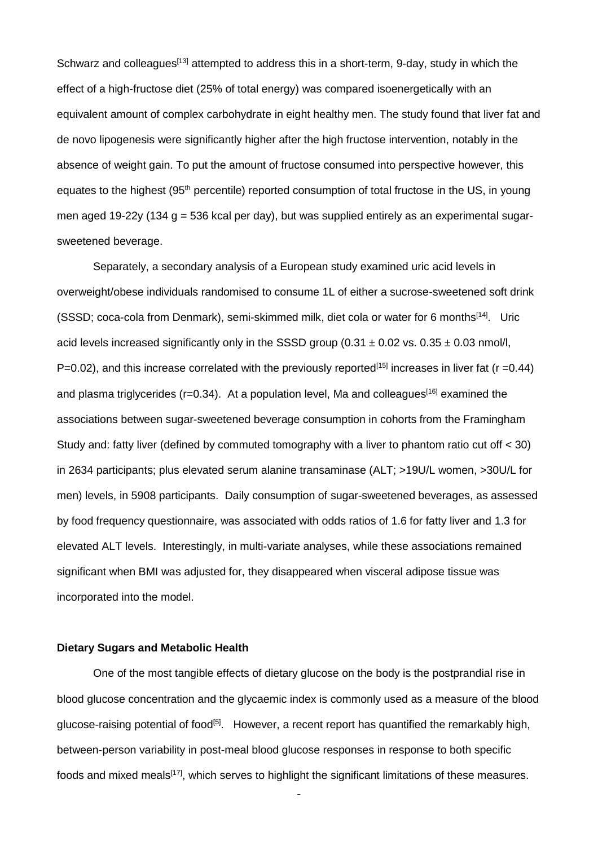Schwarz and colleagues<sup>[13]</sup> attempted to address this in a short-term, 9-day, study in which the effect of a high-fructose diet (25% of total energy) was compared isoenergetically with an equivalent amount of complex carbohydrate in eight healthy men. The study found that liver fat and de novo lipogenesis were significantly higher after the high fructose intervention, notably in the absence of weight gain. To put the amount of fructose consumed into perspective however, this equates to the highest (95<sup>th</sup> percentile) reported consumption of total fructose in the US, in young men aged 19-22y (134 g = 536 kcal per day), but was supplied entirely as an experimental sugarsweetened beverage.

Separately, a secondary analysis of a European study examined uric acid levels in overweight/obese individuals randomised to consume 1L of either a sucrose-sweetened soft drink (SSSD; coca-cola from Denmark), semi-skimmed milk, diet cola or water for 6 months<sup>[14]</sup>. Uric acid levels increased significantly only in the SSSD group (0.31  $\pm$  0.02 vs. 0.35  $\pm$  0.03 nmol/l,  $P=0.02$ ), and this increase correlated with the previously reported<sup>[15]</sup> increases in liver fat (r =0.44) and plasma triglycerides ( $r=0.34$ ). At a population level, Ma and colleagues<sup>[16]</sup> examined the associations between sugar-sweetened beverage consumption in cohorts from the Framingham Study and: fatty liver (defined by commuted tomography with a liver to phantom ratio cut off < 30) in 2634 participants; plus elevated serum alanine transaminase (ALT; >19U/L women, >30U/L for men) levels, in 5908 participants. Daily consumption of sugar-sweetened beverages, as assessed by food frequency questionnaire, was associated with odds ratios of 1.6 for fatty liver and 1.3 for elevated ALT levels. Interestingly, in multi-variate analyses, while these associations remained significant when BMI was adjusted for, they disappeared when visceral adipose tissue was incorporated into the model.

#### **Dietary Sugars and Metabolic Health**

One of the most tangible effects of dietary glucose on the body is the postprandial rise in blood glucose concentration and the glycaemic index is commonly used as a measure of the blood glucose-raising potential of food<sup>[5]</sup>. However, a recent report has quantified the remarkably high, between-person variability in post-meal blood glucose responses in response to both specific foods and mixed meals<sup>[17]</sup>, which serves to highlight the significant limitations of these measures.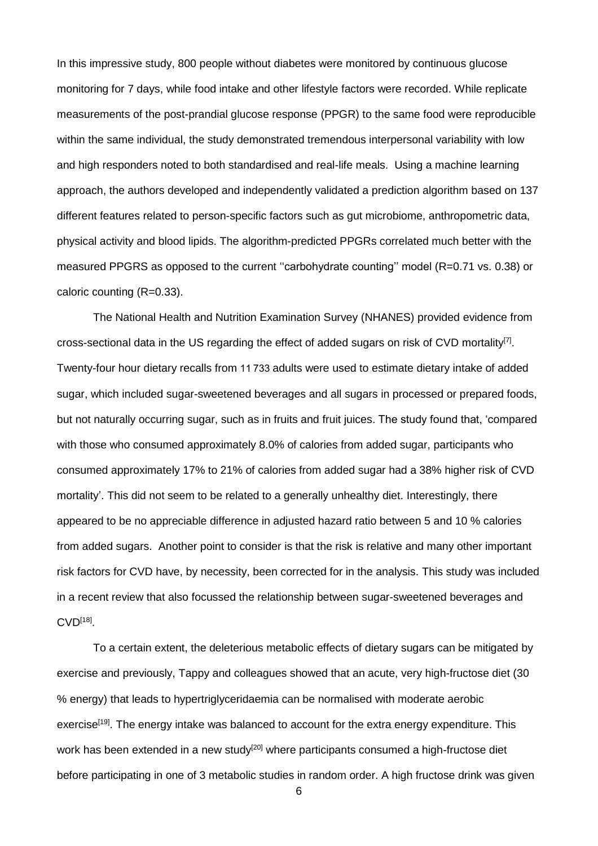In this impressive study, 800 people without diabetes were monitored by continuous glucose monitoring for 7 days, while food intake and other lifestyle factors were recorded. While replicate measurements of the post-prandial glucose response (PPGR) to the same food were reproducible within the same individual, the study demonstrated tremendous interpersonal variability with low and high responders noted to both standardised and real-life meals. Using a machine learning approach, the authors developed and independently validated a prediction algorithm based on 137 different features related to person-specific factors such as gut microbiome, anthropometric data, physical activity and blood lipids. The algorithm-predicted PPGRs correlated much better with the measured PPGRS as opposed to the current ''carbohydrate counting'' model (R=0.71 vs. 0.38) or caloric counting (R=0.33).

The National Health and Nutrition Examination Survey (NHANES) provided evidence from cross-sectional data in the US regarding the effect of added sugars on risk of CVD mortality<sup>[7]</sup>. Twenty-four hour dietary recalls from 11733 adults were used to estimate dietary intake of added sugar, which included sugar-sweetened beverages and all sugars in processed or prepared foods, but not naturally occurring sugar, such as in fruits and fruit juices. The study found that, 'compared with those who consumed approximately 8.0% of calories from added sugar, participants who consumed approximately 17% to 21% of calories from added sugar had a 38% higher risk of CVD mortality'. This did not seem to be related to a generally unhealthy diet. Interestingly, there appeared to be no appreciable difference in adjusted hazard ratio between 5 and 10 % calories from added sugars. Another point to consider is that the risk is relative and many other important risk factors for CVD have, by necessity, been corrected for in the analysis. This study was included in a recent review that also focussed the relationship between sugar-sweetened beverages and  $\mathsf{CVD}^{[18]}.$ 

To a certain extent, the deleterious metabolic effects of dietary sugars can be mitigated by exercise and previously, Tappy and colleagues showed that an acute, very high-fructose diet (30 % energy) that leads to hypertriglyceridaemia can be normalised with moderate aerobic exercise<sup>[19]</sup>. The energy intake was balanced to account for the extra energy expenditure. This work has been extended in a new study<sup>[20]</sup> where participants consumed a high-fructose diet before participating in one of 3 metabolic studies in random order. A high fructose drink was given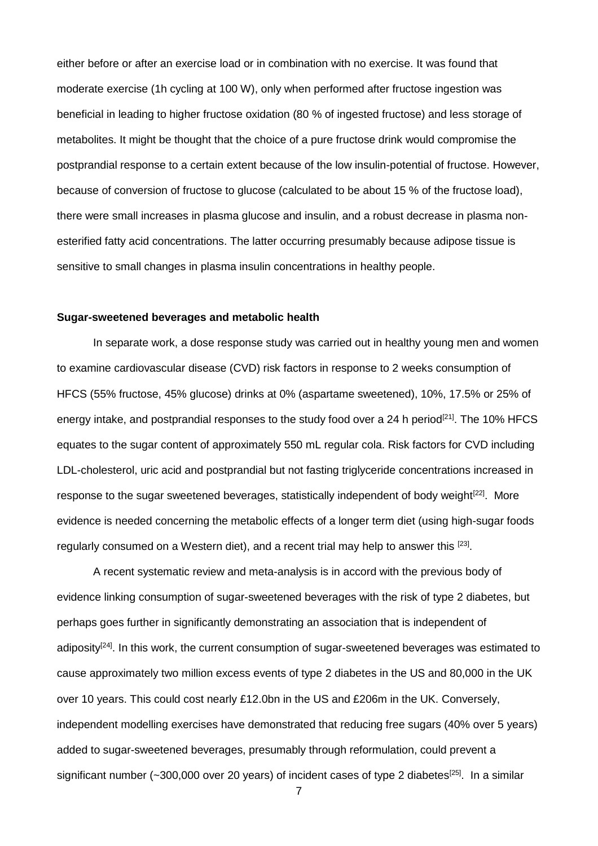either before or after an exercise load or in combination with no exercise. It was found that moderate exercise (1h cycling at 100 W), only when performed after fructose ingestion was beneficial in leading to higher fructose oxidation (80 % of ingested fructose) and less storage of metabolites. It might be thought that the choice of a pure fructose drink would compromise the postprandial response to a certain extent because of the low insulin-potential of fructose. However, because of conversion of fructose to glucose (calculated to be about 15 % of the fructose load), there were small increases in plasma glucose and insulin, and a robust decrease in plasma nonesterified fatty acid concentrations. The latter occurring presumably because adipose tissue is sensitive to small changes in plasma insulin concentrations in healthy people.

### **Sugar-sweetened beverages and metabolic health**

In separate work, a dose response study was carried out in healthy young men and women to examine cardiovascular disease (CVD) risk factors in response to 2 weeks consumption of HFCS (55% fructose, 45% glucose) drinks at 0% (aspartame sweetened), 10%, 17.5% or 25% of energy intake, and postprandial responses to the study food over a 24 h period<sup>[21]</sup>. The 10% HFCS equates to the sugar content of approximately 550 mL regular cola. Risk factors for CVD including LDL-cholesterol, uric acid and postprandial but not fasting triglyceride concentrations increased in response to the sugar sweetened beverages, statistically independent of body weight<sup>[22]</sup>. More evidence is needed concerning the metabolic effects of a longer term diet (using high-sugar foods regularly consumed on a Western diet), and a recent trial may help to answer this <sup>[23]</sup>.

A recent systematic review and meta-analysis is in accord with the previous body of evidence linking consumption of sugar-sweetened beverages with the risk of type 2 diabetes, but perhaps goes further in significantly demonstrating an association that is independent of adiposity<sup>[24]</sup>. In this work, the current consumption of sugar-sweetened beverages was estimated to cause approximately two million excess events of type 2 diabetes in the US and 80,000 in the UK over 10 years. This could cost nearly £12.0bn in the US and £206m in the UK. Conversely, independent modelling exercises have demonstrated that reducing free sugars (40% over 5 years) added to sugar-sweetened beverages, presumably through reformulation, could prevent a significant number (~300,000 over 20 years) of incident cases of type 2 diabetes<sup>[25]</sup>. In a similar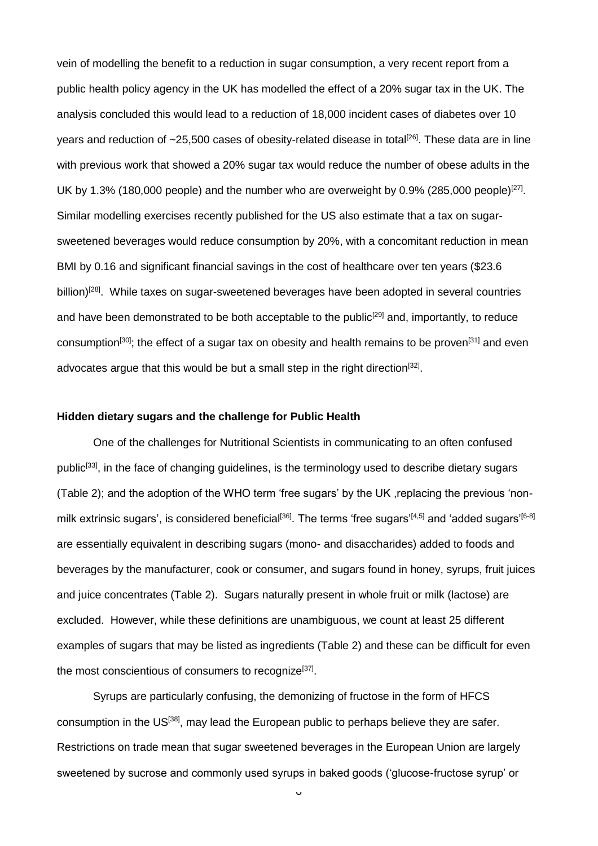vein of modelling the benefit to a reduction in sugar consumption, a very recent report from a public health policy agency in the UK has modelled the effect of a 20% sugar tax in the UK. The analysis concluded this would lead to a reduction of 18,000 incident cases of diabetes over 10 years and reduction of ~25,500 cases of obesity-related disease in total<sup>[26]</sup>. These data are in line with previous work that showed a 20% sugar tax would reduce the number of obese adults in the UK by 1.3% (180,000 people) and the number who are overweight by 0.9% (285,000 people)<sup>[27]</sup>. Similar modelling exercises recently published for the US also estimate that a tax on sugarsweetened beverages would reduce consumption by 20%, with a concomitant reduction in mean BMI by 0.16 and significant financial savings in the cost of healthcare over ten years (\$23.6 billion)<sup>[28]</sup>. While taxes on sugar-sweetened beverages have been adopted in several countries and have been demonstrated to be both acceptable to the public<sup>[29]</sup> and, importantly, to reduce consumption<sup>[30]</sup>; the effect of a sugar tax on obesity and health remains to be proven<sup>[31]</sup> and even advocates argue that this would be but a small step in the right direction<sup>[32]</sup>.

#### **Hidden dietary sugars and the challenge for Public Health**

One of the challenges for Nutritional Scientists in communicating to an often confused public<sup>[33]</sup>, in the face of changing guidelines, is the terminology used to describe dietary sugars (Table 2); and the adoption of the WHO term 'free sugars' by the UK ,replacing the previous 'nonmilk extrinsic sugars', is considered beneficial<sup>[36]</sup>. The terms 'free sugars'<sup>[4,5]</sup> and 'added sugars'<sup>[6-8]</sup> are essentially equivalent in describing sugars (mono- and disaccharides) added to foods and beverages by the manufacturer, cook or consumer, and sugars found in honey, syrups, fruit juices and juice concentrates (Table 2). Sugars naturally present in whole fruit or milk (lactose) are excluded. However, while these definitions are unambiguous, we count at least 25 different examples of sugars that may be listed as ingredients (Table 2) and these can be difficult for even the most conscientious of consumers to recognize<sup>[37]</sup>.

Syrups are particularly confusing, the demonizing of fructose in the form of HFCS consumption in the US[38], may lead the European public to perhaps believe they are safer. Restrictions on trade mean that sugar sweetened beverages in the European Union are largely sweetened by sucrose and commonly used syrups in baked goods ('glucose-fructose syrup' or

 $\circ$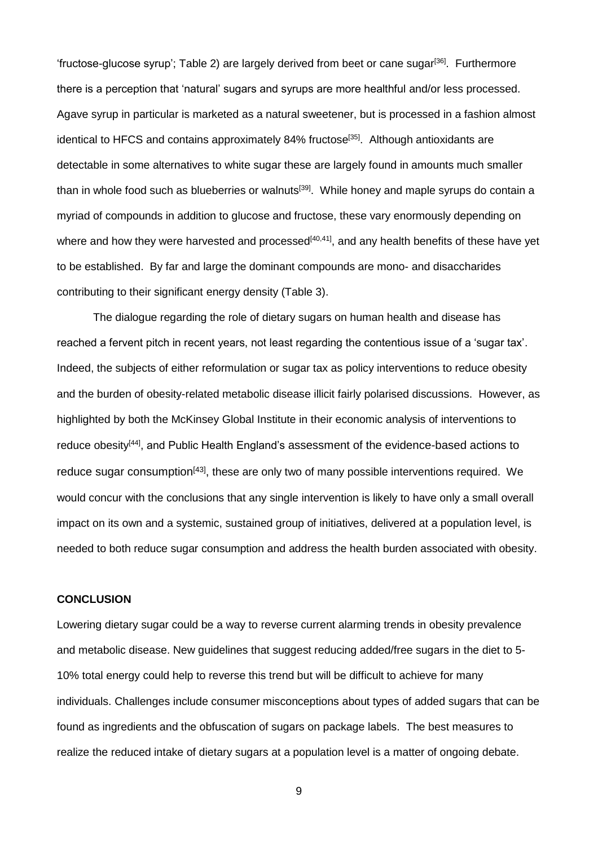'fructose-glucose syrup'; Table 2) are largely derived from beet or cane sugar[36]. Furthermore there is a perception that 'natural' sugars and syrups are more healthful and/or less processed. Agave syrup in particular is marketed as a natural sweetener, but is processed in a fashion almost identical to HFCS and contains approximately  $84\%$  fructose<sup>[35]</sup>. Although antioxidants are detectable in some alternatives to white sugar these are largely found in amounts much smaller than in whole food such as blueberries or walnuts<sup>[39]</sup>. While honey and maple syrups do contain a myriad of compounds in addition to glucose and fructose, these vary enormously depending on where and how they were harvested and processed<sup>[40,41]</sup>, and any health benefits of these have yet to be established. By far and large the dominant compounds are mono- and disaccharides contributing to their significant energy density (Table 3).

The dialogue regarding the role of dietary sugars on human health and disease has reached a fervent pitch in recent years, not least regarding the contentious issue of a 'sugar tax'. Indeed, the subjects of either reformulation or sugar tax as policy interventions to reduce obesity and the burden of obesity-related metabolic disease illicit fairly polarised discussions. However, as highlighted by both the McKinsey Global Institute in their economic analysis of interventions to reduce obesity<sup>[44]</sup>, and Public Health England's assessment of the evidence-based actions to reduce sugar consumption<sup>[43]</sup>, these are only two of many possible interventions required. We would concur with the conclusions that any single intervention is likely to have only a small overall impact on its own and a systemic, sustained group of initiatives, delivered at a population level, is needed to both reduce sugar consumption and address the health burden associated with obesity.

## **CONCLUSION**

Lowering dietary sugar could be a way to reverse current alarming trends in obesity prevalence and metabolic disease. New guidelines that suggest reducing added/free sugars in the diet to 5- 10% total energy could help to reverse this trend but will be difficult to achieve for many individuals. Challenges include consumer misconceptions about types of added sugars that can be found as ingredients and the obfuscation of sugars on package labels. The best measures to realize the reduced intake of dietary sugars at a population level is a matter of ongoing debate.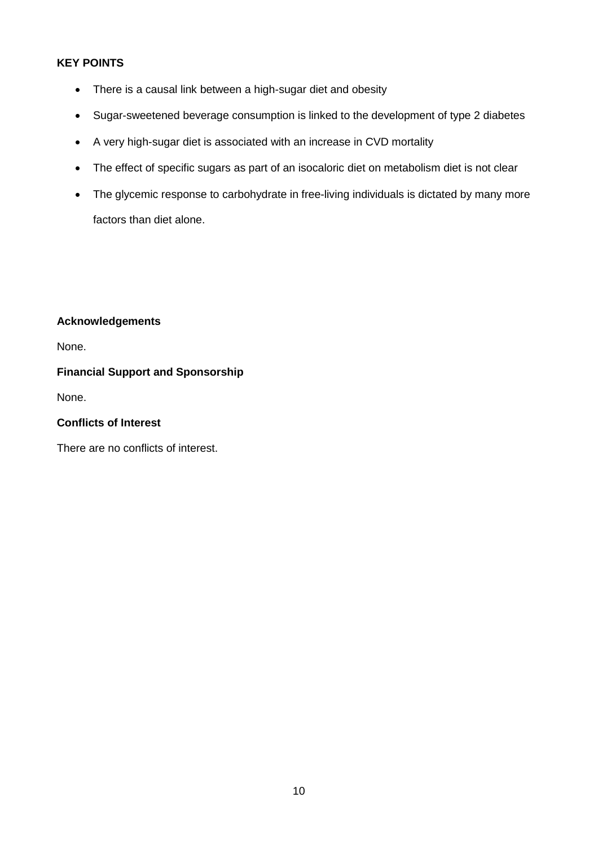# **KEY POINTS**

- There is a causal link between a high-sugar diet and obesity
- Sugar-sweetened beverage consumption is linked to the development of type 2 diabetes
- A very high-sugar diet is associated with an increase in CVD mortality
- The effect of specific sugars as part of an isocaloric diet on metabolism diet is not clear
- The glycemic response to carbohydrate in free-living individuals is dictated by many more factors than diet alone.

## **Acknowledgements**

None.

# **Financial Support and Sponsorship**

None.

### **Conflicts of Interest**

There are no conflicts of interest.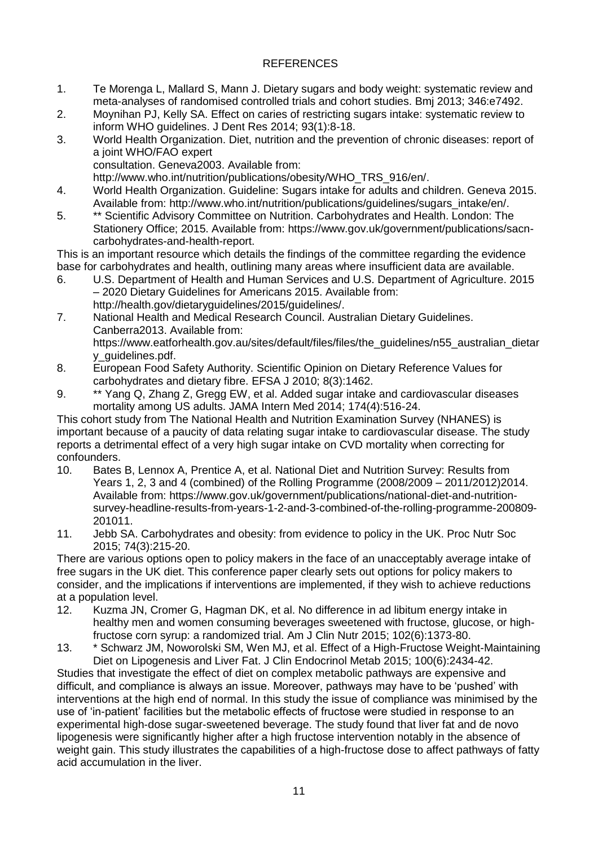# REFERENCES

- 1. Te Morenga L, Mallard S, Mann J. Dietary sugars and body weight: systematic review and meta-analyses of randomised controlled trials and cohort studies. Bmj 2013; 346:e7492.
- 2. Moynihan PJ, Kelly SA. Effect on caries of restricting sugars intake: systematic review to inform WHO guidelines. J Dent Res 2014; 93(1):8-18.
- 3. World Health Organization. Diet, nutrition and the prevention of chronic diseases: report of a joint WHO/FAO expert consultation. Geneva2003. Available from:

http://www.who.int/nutrition/publications/obesity/WHO\_TRS\_916/en/.

- 4. World Health Organization. Guideline: Sugars intake for adults and children. Geneva 2015. Available from: http://www.who.int/nutrition/publications/guidelines/sugars\_intake/en/.
- 5. \*\* Scientific Advisory Committee on Nutrition. Carbohydrates and Health. London: The Stationery Office; 2015. Available from: https://www.gov.uk/government/publications/sacncarbohydrates-and-health-report.

This is an important resource which details the findings of the committee regarding the evidence base for carbohydrates and health, outlining many areas where insufficient data are available.

- 6. U.S. Department of Health and Human Services and U.S. Department of Agriculture. 2015 – 2020 Dietary Guidelines for Americans 2015. Available from: http://health.gov/dietaryguidelines/2015/guidelines/.
- 7. National Health and Medical Research Council. Australian Dietary Guidelines. Canberra2013. Available from: https://www.eatforhealth.gov.au/sites/default/files/files/the\_guidelines/n55\_australian\_dietar y\_guidelines.pdf.
- 8. European Food Safety Authority. Scientific Opinion on Dietary Reference Values for carbohydrates and dietary fibre. EFSA J 2010; 8(3):1462.
- 9. \*\* Yang Q, Zhang Z, Gregg EW, et al. Added sugar intake and cardiovascular diseases mortality among US adults. JAMA Intern Med 2014; 174(4):516-24.

This cohort study from The National Health and Nutrition Examination Survey (NHANES) is important because of a paucity of data relating sugar intake to cardiovascular disease. The study reports a detrimental effect of a very high sugar intake on CVD mortality when correcting for confounders.

- 10. Bates B, Lennox A, Prentice A, et al. National Diet and Nutrition Survey: Results from Years 1, 2, 3 and 4 (combined) of the Rolling Programme (2008/2009 – 2011/2012)2014. Available from: https://www.gov.uk/government/publications/national-diet-and-nutritionsurvey-headline-results-from-years-1-2-and-3-combined-of-the-rolling-programme-200809- 201011.
- 11. Jebb SA. Carbohydrates and obesity: from evidence to policy in the UK. Proc Nutr Soc 2015; 74(3):215-20.

There are various options open to policy makers in the face of an unacceptably average intake of free sugars in the UK diet. This conference paper clearly sets out options for policy makers to consider, and the implications if interventions are implemented, if they wish to achieve reductions at a population level.

- 12. Kuzma JN, Cromer G, Hagman DK, et al. No difference in ad libitum energy intake in healthy men and women consuming beverages sweetened with fructose, glucose, or highfructose corn syrup: a randomized trial. Am J Clin Nutr 2015; 102(6):1373-80.
- 13. \* Schwarz JM, Noworolski SM, Wen MJ, et al. Effect of a High-Fructose Weight-Maintaining Diet on Lipogenesis and Liver Fat. J Clin Endocrinol Metab 2015; 100(6):2434-42.

Studies that investigate the effect of diet on complex metabolic pathways are expensive and difficult, and compliance is always an issue. Moreover, pathways may have to be 'pushed' with interventions at the high end of normal. In this study the issue of compliance was minimised by the use of 'in-patient' facilities but the metabolic effects of fructose were studied in response to an experimental high-dose sugar-sweetened beverage. The study found that liver fat and de novo lipogenesis were significantly higher after a high fructose intervention notably in the absence of weight gain. This study illustrates the capabilities of a high-fructose dose to affect pathways of fatty acid accumulation in the liver.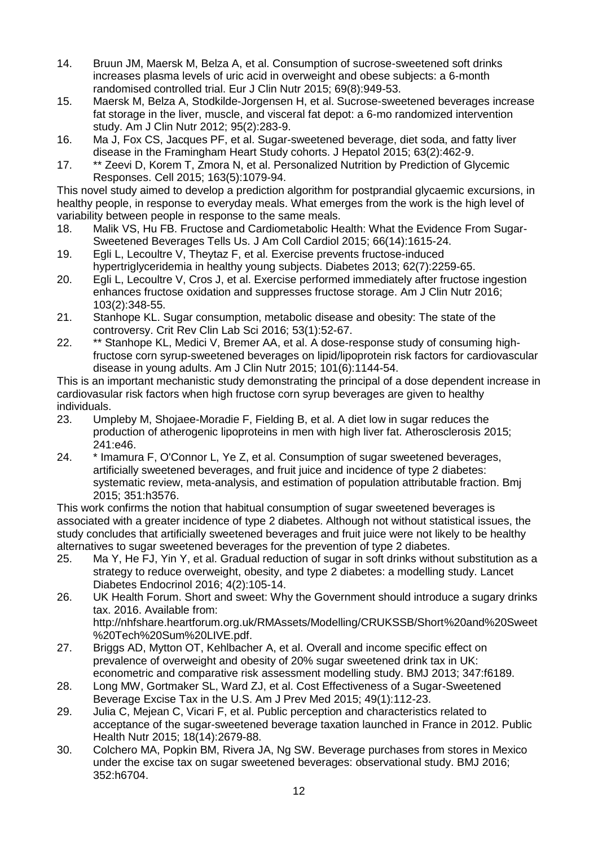- 14. Bruun JM, Maersk M, Belza A, et al. Consumption of sucrose-sweetened soft drinks increases plasma levels of uric acid in overweight and obese subjects: a 6-month randomised controlled trial. Eur J Clin Nutr 2015; 69(8):949-53.
- 15. Maersk M, Belza A, Stodkilde-Jorgensen H, et al. Sucrose-sweetened beverages increase fat storage in the liver, muscle, and visceral fat depot: a 6-mo randomized intervention study. Am J Clin Nutr 2012; 95(2):283-9.
- 16. Ma J, Fox CS, Jacques PF, et al. Sugar-sweetened beverage, diet soda, and fatty liver disease in the Framingham Heart Study cohorts. J Hepatol 2015; 63(2):462-9.
- 17. \*\* Zeevi D, Korem T, Zmora N, et al. Personalized Nutrition by Prediction of Glycemic Responses. Cell 2015; 163(5):1079-94.

This novel study aimed to develop a prediction algorithm for postprandial glycaemic excursions, in healthy people, in response to everyday meals. What emerges from the work is the high level of variability between people in response to the same meals.

- 18. Malik VS, Hu FB. Fructose and Cardiometabolic Health: What the Evidence From Sugar-Sweetened Beverages Tells Us. J Am Coll Cardiol 2015; 66(14):1615-24.
- 19. Egli L, Lecoultre V, Theytaz F, et al. Exercise prevents fructose-induced hypertriglyceridemia in healthy young subjects. Diabetes 2013; 62(7):2259-65.
- 20. Egli L, Lecoultre V, Cros J, et al. Exercise performed immediately after fructose ingestion enhances fructose oxidation and suppresses fructose storage. Am J Clin Nutr 2016; 103(2):348-55.
- 21. Stanhope KL. Sugar consumption, metabolic disease and obesity: The state of the controversy. Crit Rev Clin Lab Sci 2016; 53(1):52-67.
- 22. \*\* Stanhope KL, Medici V, Bremer AA, et al. A dose-response study of consuming highfructose corn syrup-sweetened beverages on lipid/lipoprotein risk factors for cardiovascular disease in young adults. Am J Clin Nutr 2015; 101(6):1144-54.

This is an important mechanistic study demonstrating the principal of a dose dependent increase in cardiovasular risk factors when high fructose corn syrup beverages are given to healthy individuals.

- 23. Umpleby M, Shojaee-Moradie F, Fielding B, et al. A diet low in sugar reduces the production of atherogenic lipoproteins in men with high liver fat. Atherosclerosis 2015; 241:e46.
- 24. \* Imamura F, O'Connor L, Ye Z, et al. Consumption of sugar sweetened beverages, artificially sweetened beverages, and fruit juice and incidence of type 2 diabetes: systematic review, meta-analysis, and estimation of population attributable fraction. Bmj 2015; 351:h3576.

This work confirms the notion that habitual consumption of sugar sweetened beverages is associated with a greater incidence of type 2 diabetes. Although not without statistical issues, the study concludes that artificially sweetened beverages and fruit juice were not likely to be healthy alternatives to sugar sweetened beverages for the prevention of type 2 diabetes.

- 25. Ma Y, He FJ, Yin Y, et al. Gradual reduction of sugar in soft drinks without substitution as a strategy to reduce overweight, obesity, and type 2 diabetes: a modelling study. Lancet Diabetes Endocrinol 2016; 4(2):105-14.
- 26. UK Health Forum. Short and sweet: Why the Government should introduce a sugary drinks tax. 2016. Available from: http://nhfshare.heartforum.org.uk/RMAssets/Modelling/CRUKSSB/Short%20and%20Sweet %20Tech%20Sum%20LIVE.pdf.
- 27. Briggs AD, Mytton OT, Kehlbacher A, et al. Overall and income specific effect on prevalence of overweight and obesity of 20% sugar sweetened drink tax in UK: econometric and comparative risk assessment modelling study. BMJ 2013; 347:f6189.
- 28. Long MW, Gortmaker SL, Ward ZJ, et al. Cost Effectiveness of a Sugar-Sweetened Beverage Excise Tax in the U.S. Am J Prev Med 2015; 49(1):112-23.
- 29. Julia C, Mejean C, Vicari F, et al. Public perception and characteristics related to acceptance of the sugar-sweetened beverage taxation launched in France in 2012. Public Health Nutr 2015; 18(14):2679-88.
- 30. Colchero MA, Popkin BM, Rivera JA, Ng SW. Beverage purchases from stores in Mexico under the excise tax on sugar sweetened beverages: observational study. BMJ 2016; 352:h6704.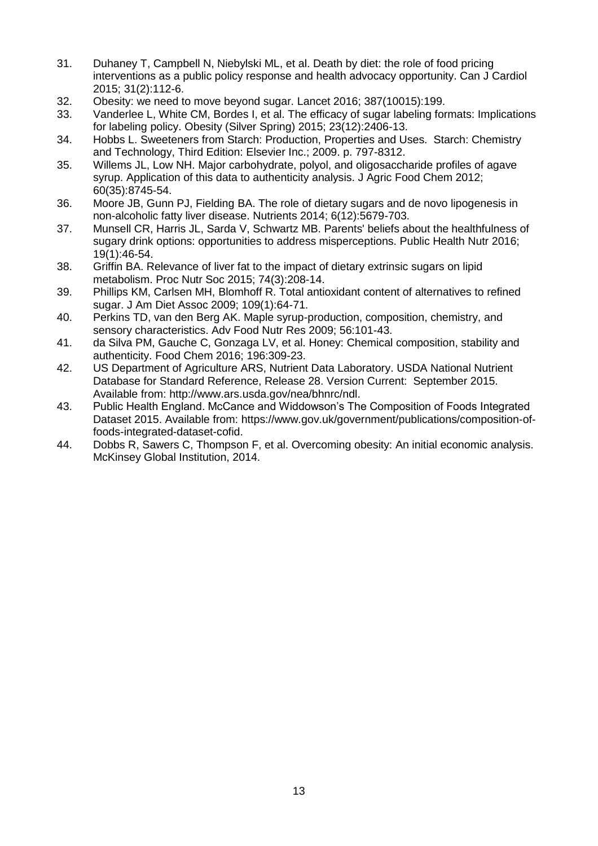- 31. Duhaney T, Campbell N, Niebylski ML, et al. Death by diet: the role of food pricing interventions as a public policy response and health advocacy opportunity. Can J Cardiol 2015; 31(2):112-6.
- 32. Obesity: we need to move beyond sugar. Lancet 2016; 387(10015):199.
- 33. Vanderlee L, White CM, Bordes I, et al. The efficacy of sugar labeling formats: Implications for labeling policy. Obesity (Silver Spring) 2015; 23(12):2406-13.
- 34. Hobbs L. Sweeteners from Starch: Production, Properties and Uses. Starch: Chemistry and Technology, Third Edition: Elsevier Inc.; 2009. p. 797-8312.
- 35. Willems JL, Low NH. Major carbohydrate, polyol, and oligosaccharide profiles of agave syrup. Application of this data to authenticity analysis. J Agric Food Chem 2012; 60(35):8745-54.
- 36. Moore JB, Gunn PJ, Fielding BA. The role of dietary sugars and de novo lipogenesis in non-alcoholic fatty liver disease. Nutrients 2014; 6(12):5679-703.
- 37. Munsell CR, Harris JL, Sarda V, Schwartz MB. Parents' beliefs about the healthfulness of sugary drink options: opportunities to address misperceptions. Public Health Nutr 2016; 19(1):46-54.
- 38. Griffin BA. Relevance of liver fat to the impact of dietary extrinsic sugars on lipid metabolism. Proc Nutr Soc 2015; 74(3):208-14.
- 39. Phillips KM, Carlsen MH, Blomhoff R. Total antioxidant content of alternatives to refined sugar. J Am Diet Assoc 2009; 109(1):64-71.
- 40. Perkins TD, van den Berg AK. Maple syrup-production, composition, chemistry, and sensory characteristics. Adv Food Nutr Res 2009; 56:101-43.
- 41. da Silva PM, Gauche C, Gonzaga LV, et al. Honey: Chemical composition, stability and authenticity. Food Chem 2016; 196:309-23.
- 42. US Department of Agriculture ARS, Nutrient Data Laboratory. USDA National Nutrient Database for Standard Reference, Release 28. Version Current: September 2015. Available from: http://www.ars.usda.gov/nea/bhnrc/ndl.
- 43. Public Health England. McCance and Widdowson's The Composition of Foods Integrated Dataset 2015. Available from: https://www.gov.uk/government/publications/composition-offoods-integrated-dataset-cofid.
- 44. Dobbs R, Sawers C, Thompson F, et al. Overcoming obesity: An initial economic analysis. McKinsey Global Institution, 2014.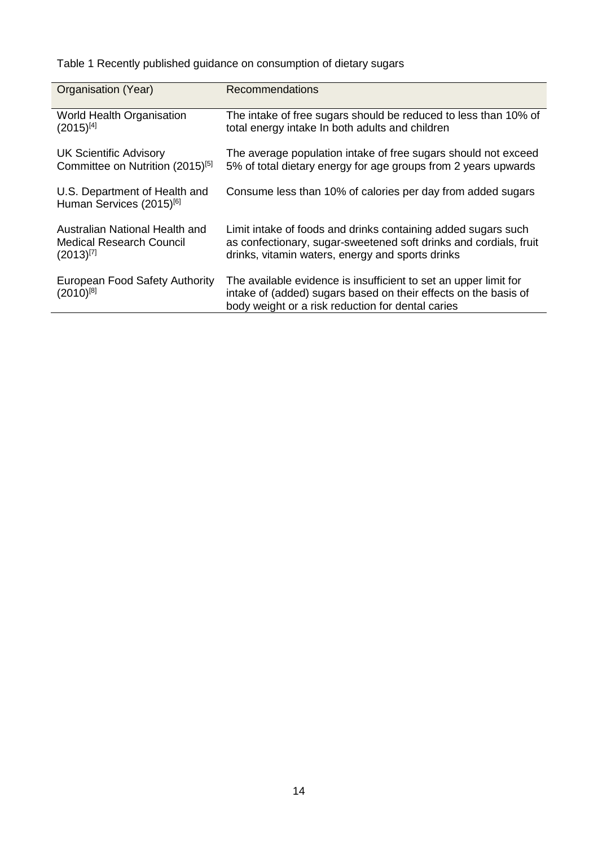Table 1 Recently published guidance on consumption of dietary sugars

| Organisation (Year)                                                   | <b>Recommendations</b>                                                                                                                                                                   |
|-----------------------------------------------------------------------|------------------------------------------------------------------------------------------------------------------------------------------------------------------------------------------|
| <b>World Health Organisation</b>                                      | The intake of free sugars should be reduced to less than 10% of                                                                                                                          |
| $(2015)^{[4]}$                                                        | total energy intake In both adults and children                                                                                                                                          |
| <b>UK Scientific Advisory</b>                                         | The average population intake of free sugars should not exceed                                                                                                                           |
| Committee on Nutrition (2015) <sup>[5]</sup>                          | 5% of total dietary energy for age groups from 2 years upwards                                                                                                                           |
| U.S. Department of Health and<br>Human Services (2015) <sup>[6]</sup> | Consume less than 10% of calories per day from added sugars                                                                                                                              |
| Australian National Health and                                        | Limit intake of foods and drinks containing added sugars such                                                                                                                            |
| Medical Research Council                                              | as confectionary, sugar-sweetened soft drinks and cordials, fruit                                                                                                                        |
| $(2013)^{[7]}$                                                        | drinks, vitamin waters, energy and sports drinks                                                                                                                                         |
| European Food Safety Authority<br>$(2010)^{[8]}$                      | The available evidence is insufficient to set an upper limit for<br>intake of (added) sugars based on their effects on the basis of<br>body weight or a risk reduction for dental caries |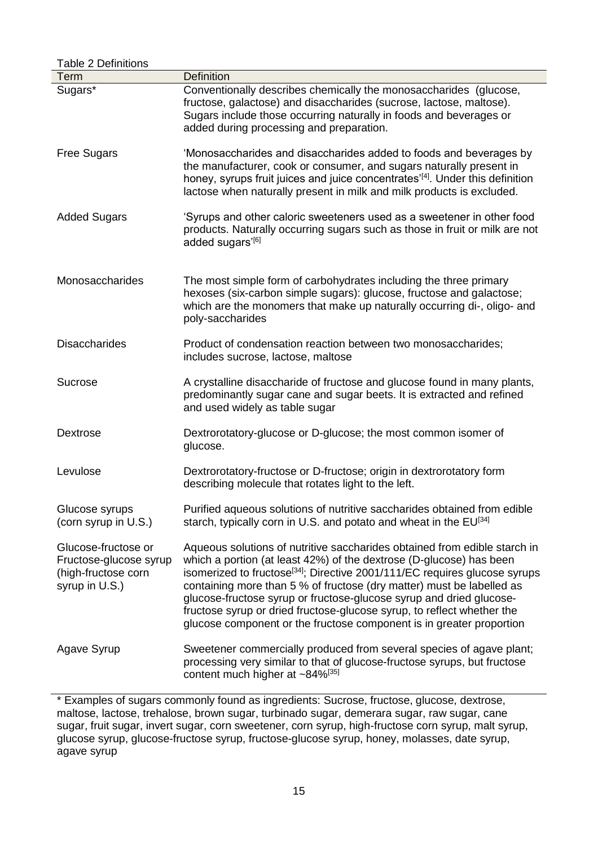| <b>Table 2 Definitions</b>                                                             |                                                                                                                                                                                                                                                                                                                                                                                                                                                                                                                                              |  |  |  |  |  |  |
|----------------------------------------------------------------------------------------|----------------------------------------------------------------------------------------------------------------------------------------------------------------------------------------------------------------------------------------------------------------------------------------------------------------------------------------------------------------------------------------------------------------------------------------------------------------------------------------------------------------------------------------------|--|--|--|--|--|--|
| Term                                                                                   | <b>Definition</b>                                                                                                                                                                                                                                                                                                                                                                                                                                                                                                                            |  |  |  |  |  |  |
| Sugars*                                                                                | Conventionally describes chemically the monosaccharides (glucose,<br>fructose, galactose) and disaccharides (sucrose, lactose, maltose).<br>Sugars include those occurring naturally in foods and beverages or<br>added during processing and preparation.                                                                                                                                                                                                                                                                                   |  |  |  |  |  |  |
| <b>Free Sugars</b>                                                                     | 'Monosaccharides and disaccharides added to foods and beverages by<br>the manufacturer, cook or consumer, and sugars naturally present in<br>honey, syrups fruit juices and juice concentrates <sup>'[4]</sup> . Under this definition<br>lactose when naturally present in milk and milk products is excluded.                                                                                                                                                                                                                              |  |  |  |  |  |  |
| <b>Added Sugars</b>                                                                    | 'Syrups and other caloric sweeteners used as a sweetener in other food<br>products. Naturally occurring sugars such as those in fruit or milk are not<br>added sugars'[6]                                                                                                                                                                                                                                                                                                                                                                    |  |  |  |  |  |  |
| Monosaccharides                                                                        | The most simple form of carbohydrates including the three primary<br>hexoses (six-carbon simple sugars): glucose, fructose and galactose;<br>which are the monomers that make up naturally occurring di-, oligo- and<br>poly-saccharides                                                                                                                                                                                                                                                                                                     |  |  |  |  |  |  |
| <b>Disaccharides</b>                                                                   | Product of condensation reaction between two monosaccharides;<br>includes sucrose, lactose, maltose                                                                                                                                                                                                                                                                                                                                                                                                                                          |  |  |  |  |  |  |
| <b>Sucrose</b>                                                                         | A crystalline disaccharide of fructose and glucose found in many plants,<br>predominantly sugar cane and sugar beets. It is extracted and refined<br>and used widely as table sugar                                                                                                                                                                                                                                                                                                                                                          |  |  |  |  |  |  |
| <b>Dextrose</b>                                                                        | Dextrorotatory-glucose or D-glucose; the most common isomer of<br>glucose.                                                                                                                                                                                                                                                                                                                                                                                                                                                                   |  |  |  |  |  |  |
| Levulose                                                                               | Dextrorotatory-fructose or D-fructose; origin in dextrorotatory form<br>describing molecule that rotates light to the left.                                                                                                                                                                                                                                                                                                                                                                                                                  |  |  |  |  |  |  |
| Glucose syrups<br>(corn syrup in U.S.)                                                 | Purified aqueous solutions of nutritive saccharides obtained from edible<br>starch, typically corn in U.S. and potato and wheat in the EU <sup>[34]</sup>                                                                                                                                                                                                                                                                                                                                                                                    |  |  |  |  |  |  |
| Glucose-fructose or<br>Fructose-glucose syrup<br>(high-fructose corn<br>syrup in U.S.) | Aqueous solutions of nutritive saccharides obtained from edible starch in<br>which a portion (at least 42%) of the dextrose (D-glucose) has been<br>isomerized to fructose <sup>[34]</sup> ; Directive 2001/111/EC requires glucose syrups<br>containing more than 5 % of fructose (dry matter) must be labelled as<br>glucose-fructose syrup or fructose-glucose syrup and dried glucose-<br>fructose syrup or dried fructose-glucose syrup, to reflect whether the<br>glucose component or the fructose component is in greater proportion |  |  |  |  |  |  |
| Agave Syrup                                                                            | Sweetener commercially produced from several species of agave plant;<br>processing very similar to that of glucose-fructose syrups, but fructose<br>content much higher at ~84%[35]                                                                                                                                                                                                                                                                                                                                                          |  |  |  |  |  |  |

\* Examples of sugars commonly found as ingredients: Sucrose, fructose, glucose, dextrose, maltose, lactose, trehalose, brown sugar, turbinado sugar, demerara sugar, raw sugar, cane sugar, fruit sugar, invert sugar, corn sweetener, corn syrup, high-fructose corn syrup, malt syrup, glucose syrup, glucose-fructose syrup, fructose-glucose syrup, honey, molasses, date syrup, agave syrup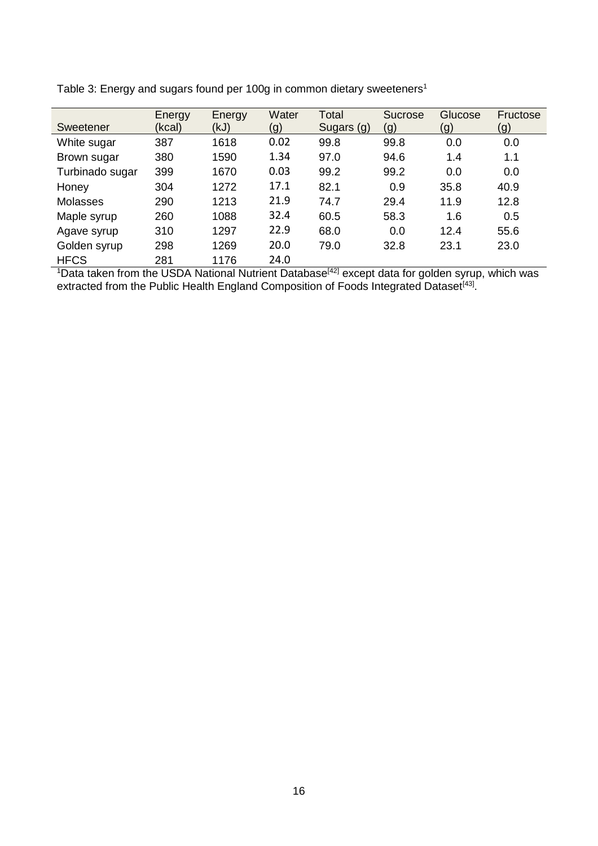| Sweetener       | Energy<br>(kcal) | Energy<br>(kJ) | Water<br>(g) | Total<br>Sugars (g) | Sucrose<br>(g) | Glucose<br>(g) | Fructose<br>(g) |
|-----------------|------------------|----------------|--------------|---------------------|----------------|----------------|-----------------|
| White sugar     | 387              | 1618           | 0.02         | 99.8                | 99.8           | 0.0            | 0.0             |
| Brown sugar     | 380              | 1590           | 1.34         | 97.0                | 94.6           | 1.4            | 1.1             |
| Turbinado sugar | 399              | 1670           | 0.03         | 99.2                | 99.2           | 0.0            | 0.0             |
| Honey           | 304              | 1272           | 17.1         | 82.1                | 0.9            | 35.8           | 40.9            |
| <b>Molasses</b> | 290              | 1213           | 21.9         | 74.7                | 29.4           | 11.9           | 12.8            |
| Maple syrup     | 260              | 1088           | 32.4         | 60.5                | 58.3           | 1.6            | 0.5             |
| Agave syrup     | 310              | 1297           | 22.9         | 68.0                | 0.0            | 12.4           | 55.6            |
| Golden syrup    | 298              | 1269           | 20.0         | 79.0                | 32.8           | 23.1           | 23.0            |
| <b>HFCS</b>     | 281              | 1176           | 24.0         |                     |                |                |                 |

Table 3: Energy and sugars found per 100g in common dietary sweeteners<sup>1</sup>

<sup>1</sup>Data taken from the USDA National Nutrient Database<sup>[42]</sup> except data for golden syrup, which was extracted from the Public Health England Composition of Foods Integrated Dataset<sup>[43]</sup>.